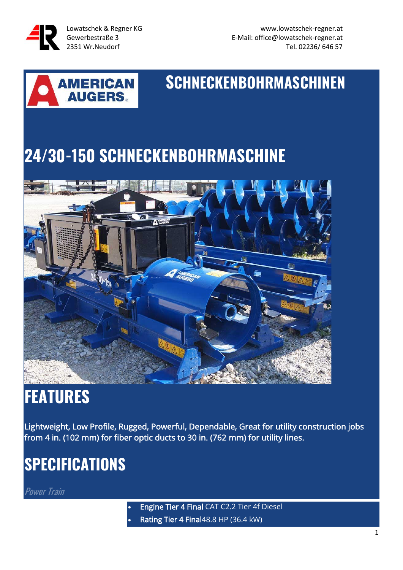

# **SCHNECKENBOHRMASCHINEN**

## **24/30-150 SCHNECKENBOHRMASCHINE**



### **FEATURES**

Lightweight, Low Profile, Rugged, Powerful, Dependable, Great for utility construction jobs from 4 in. (102 mm) for fiber optic ducts to 30 in. (762 mm) for utility lines.

### **SPECIFICATIONS**

**Power Train** 

• Engine Tier 4 Final CAT C2.2 Tier 4f Diesel • Rating Tier 4 Final48.8 HP (36.4 kW)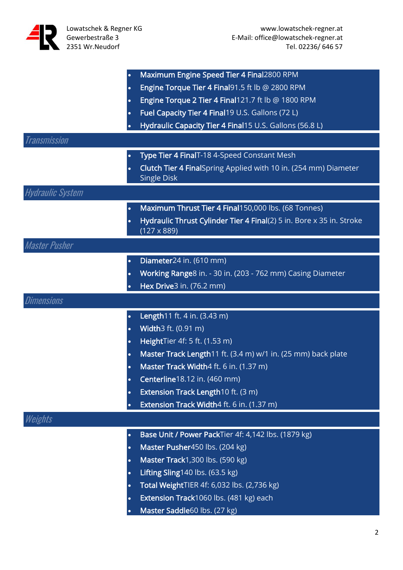|                         | Maximum Engine Speed Tier 4 Final2800 RPM<br>$\bullet$                            |
|-------------------------|-----------------------------------------------------------------------------------|
|                         | Engine Torque Tier 4 Final 91.5 ft lb @ 2800 RPM<br>$\bullet$                     |
|                         | Engine Torque 2 Tier 4 Final 121.7 ft lb @ 1800 RPM<br>$\bullet$                  |
|                         | Fuel Capacity Tier 4 Final19 U.S. Gallons (72 L)                                  |
|                         | Hydraulic Capacity Tier 4 Final15 U.S. Gallons (56.8 L)                           |
| <b>Transmission</b>     |                                                                                   |
|                         | Type Tier 4 FinalT-18 4-Speed Constant Mesh<br>$\bullet$                          |
|                         | Clutch Tier 4 FinalSpring Applied with 10 in. (254 mm) Diameter<br>$\bullet$      |
|                         | <b>Single Disk</b>                                                                |
| <b>Hydraulic System</b> |                                                                                   |
|                         | Maximum Thrust Tier 4 Final150,000 lbs. (68 Tonnes)<br>$\bullet$                  |
|                         | Hydraulic Thrust Cylinder Tier 4 Final(2) 5 in. Bore x 35 in. Stroke<br>$\bullet$ |
|                         | $(127 \times 889)$                                                                |
| <b>Master Pusher</b>    |                                                                                   |
|                         | Diameter24 in. (610 mm)<br>$\bullet$                                              |
|                         | Working Range8 in. - 30 in. (203 - 762 mm) Casing Diameter<br>$\bullet$           |
|                         | Hex Drive3 in. (76.2 mm)                                                          |
|                         |                                                                                   |
| <i>Dimensions</i>       |                                                                                   |
|                         | Length11 ft. 4 in. (3.43 m)                                                       |
|                         | Width3 ft. (0.91 m)<br>$\bullet$                                                  |
|                         | HeightTier 4f: 5 ft. (1.53 m)                                                     |
|                         | Master Track Length11 ft. (3.4 m) w/1 in. (25 mm) back plate                      |
|                         | Master Track Width4 ft. 6 in. (1.37 m)<br>$\bullet$                               |
|                         | Centerline18.12 in. (460 mm)<br>$\bullet$                                         |
|                         | Extension Track Length10 ft. (3 m)<br>$\bullet$                                   |
|                         | Extension Track Width4 ft. 6 in. (1.37 m)                                         |
| Weights                 |                                                                                   |
|                         | Base Unit / Power PackTier 4f: 4,142 lbs. (1879 kg)                               |
|                         | Master Pusher450 lbs. (204 kg)<br>$\bullet$                                       |
|                         | Master Track1,300 lbs. (590 kg)<br>$\bullet$                                      |
|                         | Lifting Sling140 lbs. (63.5 kg)<br>$\bullet$                                      |
|                         | Total WeightTIER 4f: 6,032 lbs. (2,736 kg)<br>$\bullet$                           |
|                         | Extension Track1060 lbs. (481 kg) each<br>$\bullet$                               |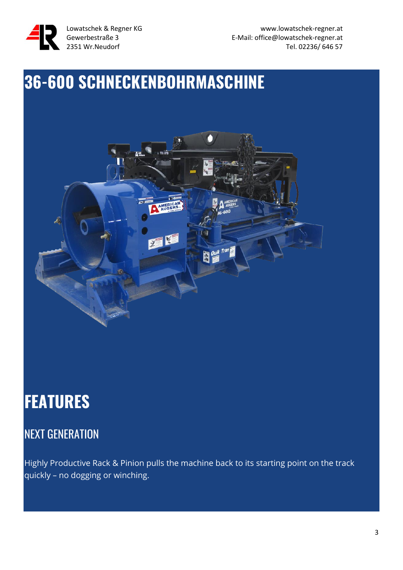

### **36-600 SCHNECKENBOHRMASCHINE**



### **FEATURES**

### NEXT GENERATION

Highly Productive Rack & Pinion pulls the machine back to its starting point on the track quickly – no dogging or winching.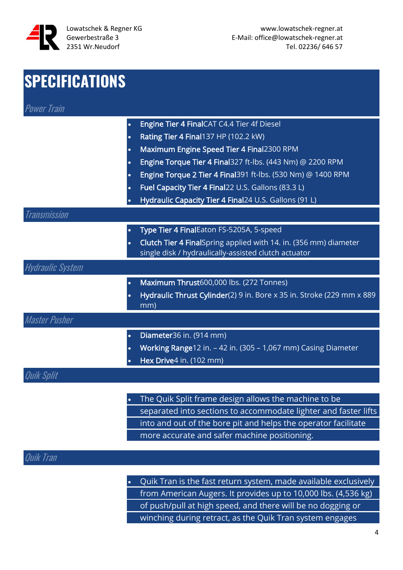

| <b>SPECIFICATIONS</b>   |                                                                                                                                       |
|-------------------------|---------------------------------------------------------------------------------------------------------------------------------------|
| <b>Power Train</b>      |                                                                                                                                       |
|                         | Engine Tier 4 FinalCAT C4.4 Tier 4f Diesel<br>$\bullet$                                                                               |
|                         | Rating Tier 4 Final137 HP (102.2 kW)<br>$\bullet$                                                                                     |
|                         | Maximum Engine Speed Tier 4 Final2300 RPM<br>$\bullet$                                                                                |
|                         | Engine Torque Tier 4 Final327 ft-lbs. (443 Nm) @ 2200 RPM                                                                             |
|                         | Engine Torque 2 Tier 4 Final391 ft-lbs. (530 Nm) @ 1400 RPM                                                                           |
|                         | Fuel Capacity Tier 4 Final22 U.S. Gallons (83.3 L)                                                                                    |
|                         | Hydraulic Capacity Tier 4 Final24 U.S. Gallons (91 L)                                                                                 |
| Transmission            |                                                                                                                                       |
|                         | Type Tier 4 FinalEaton FS-5205A, 5-speed<br>$\bullet$                                                                                 |
|                         | Clutch Tier 4 FinalSpring applied with 14. in. (356 mm) diameter<br>$\bullet$<br>single disk / hydraulically-assisted clutch actuator |
| <b>Hydraulic System</b> |                                                                                                                                       |
|                         | Maximum Thrust600,000 lbs. (272 Tonnes)                                                                                               |
|                         | Hydraulic Thrust Cylinder(2) 9 in. Bore x 35 in. Stroke (229 mm x 889<br>$\bullet$<br>mm)                                             |
| Master Pusher           |                                                                                                                                       |
|                         | Diameter36 in. (914 mm)<br>$\bullet$                                                                                                  |
|                         | Working Range12 in. - 42 in. (305 - 1,067 mm) Casing Diameter                                                                         |
|                         | Hex Drive4 in. (102 mm)                                                                                                               |
| Quik Split              |                                                                                                                                       |
|                         |                                                                                                                                       |
|                         | The Quik Split frame design allows the machine to be                                                                                  |
|                         | separated into sections to accommodate lighter and faster lifts                                                                       |

into and out of the bore pit and helps the operator facilitate more accurate and safer machine positioning.

#### Quik Tran

• Quik Tran is the fast return system, made available exclusively from American Augers. It provides up to 10,000 lbs. (4,536 kg) of push/pull at high speed, and there will be no dogging or winching during retract, as the Quik Tran system engages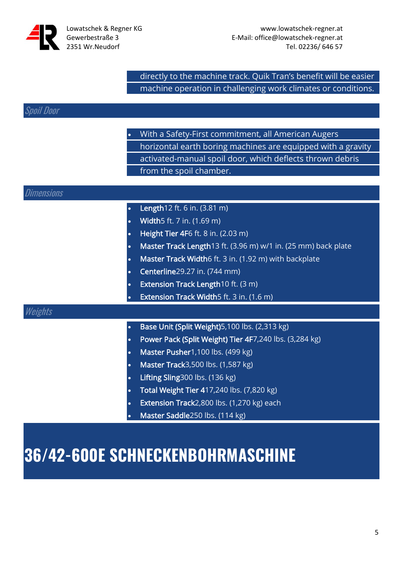

directly to the machine track. Quik Tran's benefit will be easier machine operation in challenging work climates or conditions.

#### Spoil Door

 $\mathit{Di}$ 

 $\boldsymbol{\mathcal{U}}$ 

|           | With a Safety-First commitment, all American Augers           |
|-----------|---------------------------------------------------------------|
|           | horizontal earth boring machines are equipped with a gravity  |
|           | activated-manual spoil door, which deflects thrown debris     |
|           | from the spoil chamber.                                       |
|           |                                                               |
| mensions  |                                                               |
| $\bullet$ | Length12 ft. 6 in. (3.81 m)                                   |
| $\bullet$ | Width5 ft. 7 in. (1.69 m)                                     |
| $\bullet$ | Height Tier 4F6 ft. 8 in. (2.03 m)                            |
|           | Master Track Length13 ft. (3.96 m) w/1 in. (25 mm) back plate |
| ٠         | Master Track Width6 ft. 3 in. (1.92 m) with backplate         |
|           | Centerline29.27 in. (744 mm)                                  |
| $\bullet$ | Extension Track Length10 ft. (3 m)                            |
|           | Extension Track Width5 ft. 3 in. (1.6 m)                      |
| eights    |                                                               |
| $\bullet$ | Base Unit (Split Weight)5,100 lbs. (2,313 kg)                 |
| $\bullet$ | Power Pack (Split Weight) Tier 4F7,240 lbs. (3,284 kg)        |
|           | Master Pusher1,100 lbs. (499 kg)                              |
| $\bullet$ | Master Track3,500 lbs. (1,587 kg)                             |
| $\bullet$ | Lifting Sling300 lbs. (136 kg)                                |
| $\bullet$ | Total Weight Tier 417,240 lbs. (7,820 kg)                     |
| $\bullet$ | Extension Track2,800 lbs. (1,270 kg) each                     |
|           | Master Saddle250 lbs. (114 kg)                                |
| $\bullet$ |                                                               |

### **36/42-600E SCHNECKENBOHRMASCHINE**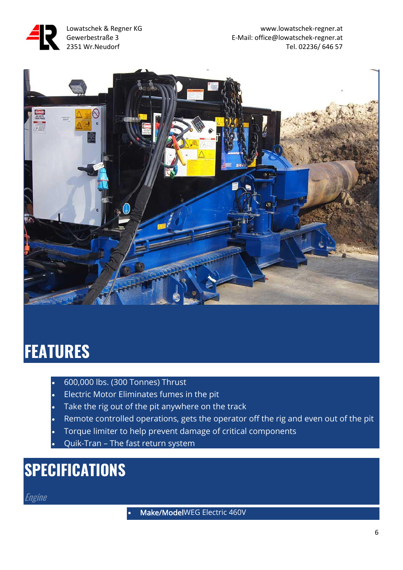



### **FEATURES**

- 600,000 lbs. (300 Tonnes) Thrust
- Electric Motor Eliminates fumes in the pit
- Take the rig out of the pit anywhere on the track
- Remote controlled operations, gets the operator off the rig and even out of the pit
- Torque limiter to help prevent damage of critical components
- Quik-Tran The fast return system

### **SPECIFICATIONS**

**Engine** 

• Make/ModelWEG Electric 460V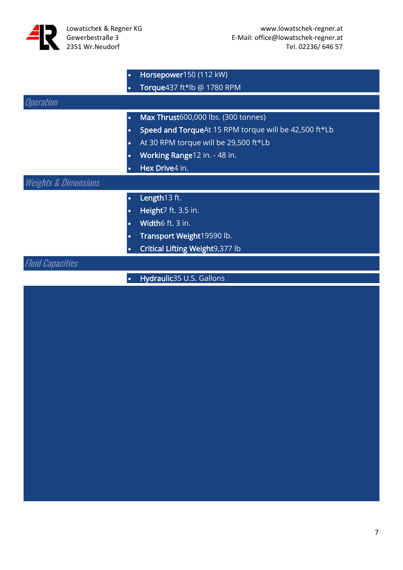

|                                 | $\bullet$ | Horsepower150 (112 kW)                                |
|---------------------------------|-----------|-------------------------------------------------------|
|                                 |           | Torque437 ft*lb @ 1780 RPM                            |
| <i><b>Operation</b></i>         |           |                                                       |
|                                 | $\bullet$ | Max Thrust600,000 lbs. (300 tonnes)                   |
|                                 | $\bullet$ | Speed and TorqueAt 15 RPM torque will be 42,500 ft*Lb |
|                                 | $\bullet$ | At 30 RPM torque will be 29,500 ft*Lb                 |
|                                 | $\bullet$ | Working Range12 in. - 48 in.                          |
|                                 |           | Hex Drive4 in.                                        |
| <b>Weights &amp; Dimensions</b> |           |                                                       |
|                                 | $\bullet$ | Length13 ft.                                          |
|                                 | $\bullet$ | Height7 ft. 3.5 in.                                   |
|                                 | $\bullet$ | Width6 ft. 3 in.                                      |
|                                 | $\bullet$ | Transport Weight19590 lb.                             |
|                                 |           | Critical Lifting Weight9,377 lb                       |
| <i>Capacities</i>               |           |                                                       |
|                                 | $\bullet$ | Hydraulic35 U.S. Gallons                              |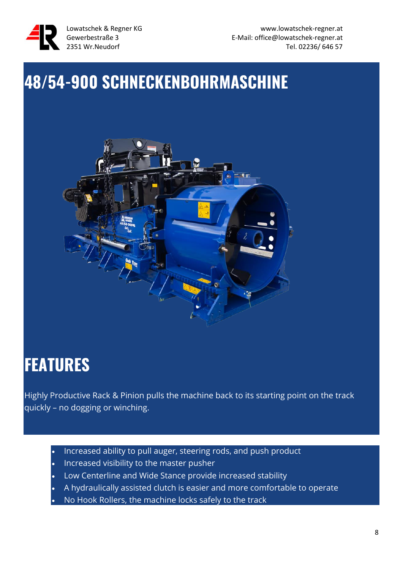

### **48/54-900 SCHNECKENBOHRMASCHINE**



### **FEATURES**

Highly Productive Rack & Pinion pulls the machine back to its starting point on the track quickly – no dogging or winching.

- Increased ability to pull auger, steering rods, and push product
- Increased visibility to the master pusher
- Low Centerline and Wide Stance provide increased stability
- A hydraulically assisted clutch is easier and more comfortable to operate
- No Hook Rollers, the machine locks safely to the track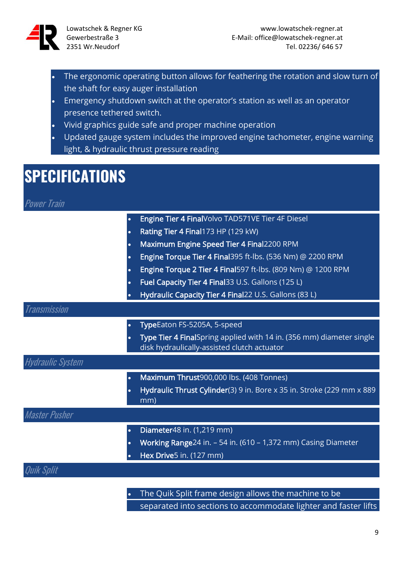

- The ergonomic operating button allows for feathering the rotation and slow turn of the shaft for easy auger installation
- Emergency shutdown switch at the operator's station as well as an operator presence tethered switch.
- Vivid graphics guide safe and proper machine operation
- Updated gauge system includes the improved engine tachometer, engine warning light, & hydraulic thrust pressure reading

### **SPECIFICATIONS**

Power Train

|                         | Engine Tier 4 FinalVolvo TAD571VE Tier 4F Diesel                                                                    |
|-------------------------|---------------------------------------------------------------------------------------------------------------------|
|                         | Rating Tier 4 Final 173 HP (129 kW)                                                                                 |
| $\bullet$               | Maximum Engine Speed Tier 4 Final2200 RPM                                                                           |
| $\bullet$               | Engine Torque Tier 4 Final395 ft-lbs. (536 Nm) @ 2200 RPM                                                           |
|                         | Engine Torque 2 Tier 4 Final597 ft-lbs. (809 Nm) @ 1200 RPM                                                         |
|                         | Fuel Capacity Tier 4 Final 33 U.S. Gallons (125 L)                                                                  |
|                         | Hydraulic Capacity Tier 4 Final22 U.S. Gallons (83 L)                                                               |
| <b>Transmission</b>     |                                                                                                                     |
|                         | TypeEaton FS-5205A, 5-speed                                                                                         |
|                         | Type Tier 4 FinalSpring applied with 14 in. (356 mm) diameter single<br>disk hydraulically-assisted clutch actuator |
| <b>Hydraulic System</b> |                                                                                                                     |
|                         | Maximum Thrust900,000 lbs. (408 Tonnes)                                                                             |
|                         | Hydraulic Thrust Cylinder(3) 9 in. Bore x 35 in. Stroke (229 mm x 889<br>mm)                                        |
| Master Pusher           |                                                                                                                     |
|                         | Diameter48 in. (1,219 mm)                                                                                           |
|                         | Working Range24 in. - 54 in. (610 - 1,372 mm) Casing Diameter                                                       |
|                         | Hex Drive5 in. (127 mm)                                                                                             |
|                         |                                                                                                                     |
|                         |                                                                                                                     |

The Quik Split frame design allows the machine to be separated into sections to accommodate lighter and faster lifts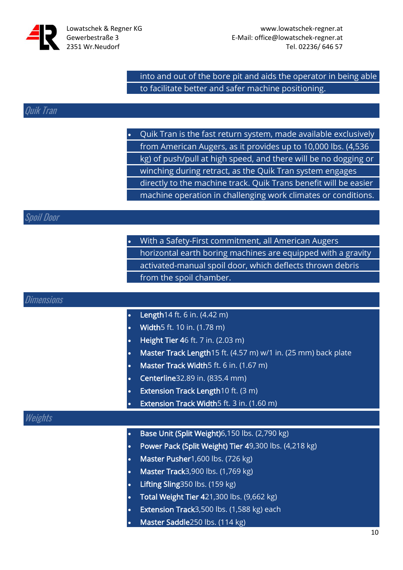

into and out of the bore pit and aids the operator in being able to facilitate better and safer machine positioning.

#### Quik Tran

• Quik Tran is the fast return system, made available exclusively from American Augers, as it provides up to 10,000 lbs. (4,536 kg) of push/pull at high speed, and there will be no dogging or winching during retract, as the Quik Tran system engages directly to the machine track. Quik Trans benefit will be easier machine operation in challenging work climates or conditions.

#### Spoil Door

|  | • With a Safety-First commitment, all American Augers        |
|--|--------------------------------------------------------------|
|  | horizontal earth boring machines are equipped with a gravity |
|  | activated-manual spoil door, which deflects thrown debris    |
|  | from the spoil chamber.                                      |

|  | Dimensions |  |
|--|------------|--|
|  |            |  |
|  |            |  |
|  |            |  |

- Length14 ft. 6 in. (4.42 m)
- Width5 ft. 10 in. (1.78 m)
- Height Tier 46 ft. 7 in. (2.03 m)
- Master Track Length15 ft. (4.57 m) w/1 in. (25 mm) back plate
- Master Track Width5 ft. 6 in. (1.67 m)
- Centerline32.89 in. (835.4 mm)
- Extension Track Length10 ft. (3 m)
	- Extension Track Width5 ft. 3 in. (1.60 m)

#### Weights

- Base Unit (Split Weight)6,150 lbs. (2,790 kg)
- Power Pack (Split Weight) Tier 49,300 lbs. (4,218 kg)
- Master Pusher1,600 lbs. (726 kg)
- Master Track3,900 lbs. (1,769 kg)
- Lifting Sling350 lbs. (159 kg)
- Total Weight Tier 421,300 lbs. (9,662 kg)
- Extension Track3,500 lbs. (1,588 kg) each
- Master Saddle250 lbs. (114 kg)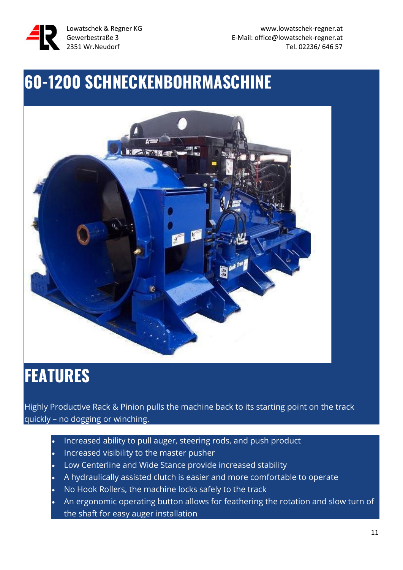

### **60-1200 SCHNECKENBOHRMASCHINE**



### **FEATURES**

Highly Productive Rack & Pinion pulls the machine back to its starting point on the track quickly – no dogging or winching.

- Increased ability to pull auger, steering rods, and push product
- Increased visibility to the master pusher
- Low Centerline and Wide Stance provide increased stability
- A hydraulically assisted clutch is easier and more comfortable to operate
- No Hook Rollers, the machine locks safely to the track
- An ergonomic operating button allows for feathering the rotation and slow turn of the shaft for easy auger installation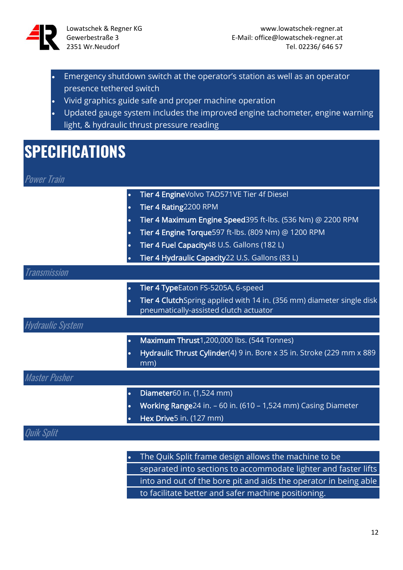

- Emergency shutdown switch at the operator's station as well as an operator presence tethered switch
- Vivid graphics guide safe and proper machine operation
- Updated gauge system includes the improved engine tachometer, engine warning light, & hydraulic thrust pressure reading

### **SPECIFICATIONS**

| <b>Power Train</b> |  |  |
|--------------------|--|--|
|                    |  |  |
|                    |  |  |
|                    |  |  |

|                         | Tier 4 EngineVolvo TAD571VE Tier 4f Diesel                                                |
|-------------------------|-------------------------------------------------------------------------------------------|
|                         | Tier 4 Rating2200 RPM<br>$\bullet$                                                        |
|                         | Tier 4 Maximum Engine Speed 395 ft-lbs. (536 Nm) @ 2200 RPM<br>$\bullet$                  |
|                         | Tier 4 Engine Torque 597 ft-lbs. (809 Nm) @ 1200 RPM<br>$\bullet$                         |
|                         | Tier 4 Fuel Capacity 48 U.S. Gallons (182 L)                                              |
|                         | Tier 4 Hydraulic Capacity22 U.S. Gallons (83 L)                                           |
| <b>Transmission</b>     |                                                                                           |
|                         | Tier 4 TypeEaton FS-5205A, 6-speed<br>$\bullet$                                           |
|                         | Tier 4 ClutchSpring applied with 14 in. (356 mm) diameter single disk<br>$\bullet$        |
|                         | pneumatically-assisted clutch actuator                                                    |
| <b>Hydraulic System</b> |                                                                                           |
|                         | Maximum Thrust1,200,000 lbs. (544 Tonnes)<br>$\bullet$                                    |
|                         | Hydraulic Thrust Cylinder(4) 9 in. Bore x 35 in. Stroke (229 mm x 889<br>$\bullet$<br>mm) |
| <b>Master Pusher</b>    |                                                                                           |
|                         | Diameter60 in. (1,524 mm)                                                                 |
|                         | Working Range24 in. - 60 in. (610 - 1,524 mm) Casing Diameter<br>$\bullet$                |
|                         | Hex Drive5 in. (127 mm)                                                                   |
| Quik Split              |                                                                                           |
|                         |                                                                                           |
|                         | The Quik Split frame design allows the machine to be                                      |
|                         | separated into sections to accommodate lighter and faster lifts                           |

into and out of the bore pit and aids the operator in being able

to facilitate better and safer machine positioning.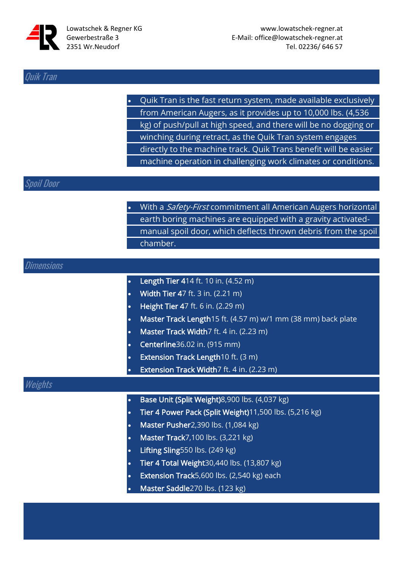

#### Quik Tran

• Quik Tran is the fast return system, made available exclusively from American Augers, as it provides up to 10,000 lbs. (4,536 kg) of push/pull at high speed, and there will be no dogging or winching during retract, as the Quik Tran system engages directly to the machine track. Quik Trans benefit will be easier machine operation in challenging work climates or conditions.

#### Spoil Door

| With a Safety-First commitment all American Augers horizontal  |
|----------------------------------------------------------------|
| earth boring machines are equipped with a gravity activated-   |
| manual spoil door, which deflects thrown debris from the spoil |
| chamber.                                                       |

### Dimensions Length Tier 414 ft. 10 in. (4.52 m) • Width Tier 47 ft. 3 in. (2.21 m) • Height Tier 47 ft. 6 in. (2.29 m) • Master Track Length15 ft. (4.57 m) w/1 mm (38 mm) back plate Master Track Width7 ft. 4 in. (2.23 m) • Centerline36.02 in. (915 mm) **Extension Track Length10 ft. (3 m)** Extension Track Width7 ft. 4 in. (2.23 m) Weights • Base Unit (Split Weight)8,900 lbs. (4,037 kg) • Tier 4 Power Pack (Split Weight)11,500 lbs. (5,216 kg) • Master Pusher2,390 lbs. (1,084 kg) • Master Track7,100 lbs. (3,221 kg)

- Lifting Sling550 lbs. (249 kg)
- Tier 4 Total Weight30,440 lbs. (13,807 kg)
- Extension Track5,600 lbs. (2,540 kg) each
- Master Saddle270 lbs. (123 kg)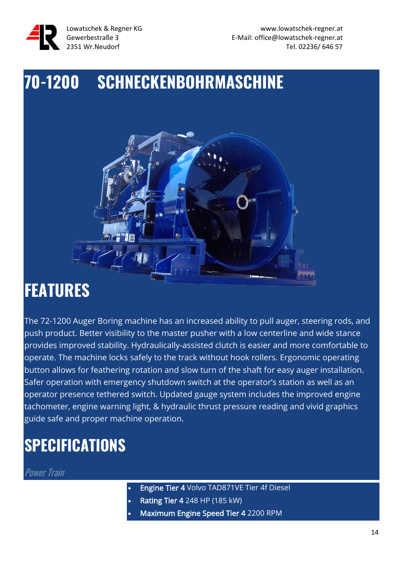

### **70-1200 SCHNECKENBOHRMASCHINE**



### **FEATURES**

The 72-1200 Auger Boring machine has an increased ability to pull auger, steering rods, and push product. Better visibility to the master pusher with a low centerline and wide stance provides improved stability. Hydraulically-assisted clutch is easier and more comfortable to operate. The machine locks safely to the track without hook rollers. Ergonomic operating button allows for feathering rotation and slow turn of the shaft for easy auger installation. Safer operation with emergency shutdown switch at the operator's station as well as an operator presence tethered switch. Updated gauge system includes the improved engine tachometer, engine warning light, & hydraulic thrust pressure reading and vivid graphics guide safe and proper machine operation.

### **SPECIFICATIONS**

Power Train

- Engine Tier 4 Volvo TAD871VE Tier 4f Diesel
- Rating Tier 4 248 HP (185 kW)
- Maximum Engine Speed Tier 4 2200 RPM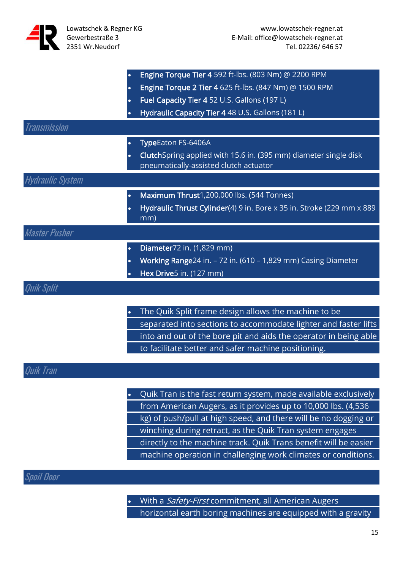|                         | Engine Torque Tier 4 592 ft-lbs. (803 Nm) @ 2200 RPM<br>٠                                                               |
|-------------------------|-------------------------------------------------------------------------------------------------------------------------|
|                         | Engine Torque 2 Tier 4 625 ft-lbs. (847 Nm) @ 1500 RPM<br>$\bullet$                                                     |
|                         | Fuel Capacity Tier 4 52 U.S. Gallons (197 L)<br>$\bullet$                                                               |
|                         | Hydraulic Capacity Tier 4 48 U.S. Gallons (181 L)                                                                       |
| Transmission            |                                                                                                                         |
|                         | TypeEaton FS-6406A<br>$\bullet$                                                                                         |
|                         | ClutchSpring applied with 15.6 in. (395 mm) diameter single disk<br>$\bullet$<br>pneumatically-assisted clutch actuator |
| <b>Hydraulic System</b> |                                                                                                                         |
|                         | Maximum Thrust1,200,000 lbs. (544 Tonnes)<br>$\bullet$                                                                  |
|                         | Hydraulic Thrust Cylinder(4) 9 in. Bore x 35 in. Stroke (229 mm x 889<br>$\bullet$<br>mm)                               |
| <b>Master Pusher</b>    |                                                                                                                         |
|                         | Diameter72 in. (1,829 mm)<br>$\bullet$                                                                                  |
|                         | Working Range24 in. - 72 in. (610 - 1,829 mm) Casing Diameter<br>٠                                                      |
|                         | Hex Drive5 in. (127 mm)                                                                                                 |
|                         |                                                                                                                         |
|                         |                                                                                                                         |
|                         | The Quik Split frame design allows the machine to be<br>$\bullet$                                                       |

separated into sections to accommodate lighter and faster lifts into and out of the bore pit and aids the operator in being able to facilitate better and safer machine positioning.

#### Quik Tran

• Quik Tran is the fast return system, made available exclusively from American Augers, as it provides up to 10,000 lbs. (4,536 kg) of push/pull at high speed, and there will be no dogging or winching during retract, as the Quik Tran system engages directly to the machine track. Quik Trans benefit will be easier machine operation in challenging work climates or conditions.

#### Spoil Door

• With a Safety-First commitment, all American Augers horizontal earth boring machines are equipped with a gravity